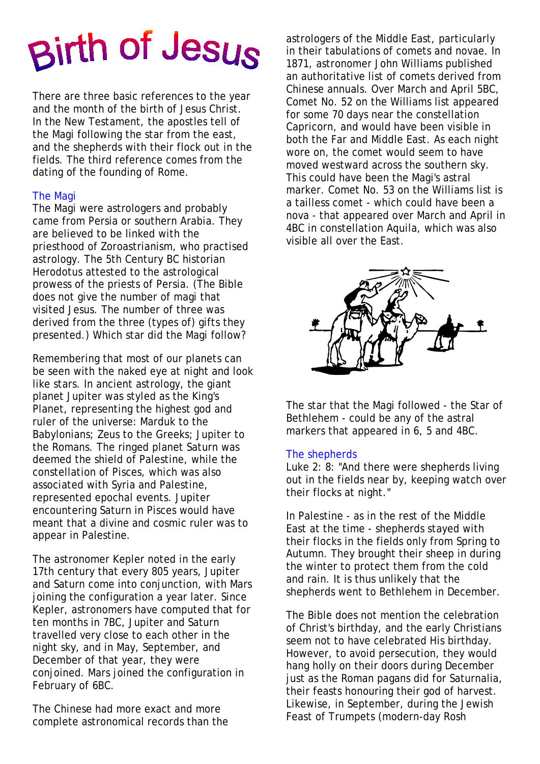# Birth of Jesus

There are three basic references to the year and the month of the birth of Jesus Christ. In the New Testament, the apostles tell of the Magi following the star from the east, and the shepherds with their flock out in the fields. The third reference comes from the dating of the founding of Rome.

# The Magi

The Magi were astrologers and probably came from Persia or southern Arabia. They are believed to be linked with the priesthood of Zoroastrianism, who practised astrology. The 5th Century BC historian Herodotus attested to the astrological prowess of the priests of Persia. (The Bible does not give the number of magi that visited Jesus. The number of three was derived from the three (types of) gifts they presented.) Which star did the Magi follow?

Remembering that most of our planets can be seen with the naked eye at night and look like stars. In ancient astrology, the giant planet Jupiter was styled as the King's Planet, representing the highest god and ruler of the universe: Marduk to the Babylonians; Zeus to the Greeks; Jupiter to the Romans. The ringed planet Saturn was deemed the shield of Palestine, while the constellation of Pisces, which was also associated with Syria and Palestine, represented epochal events. Jupiter encountering Saturn in Pisces would have meant that a divine and cosmic ruler was to appear in Palestine.

The astronomer Kepler noted in the early 17th century that every 805 years, Jupiter and Saturn come into conjunction, with Mars joining the configuration a year later. Since Kepler, astronomers have computed that for ten months in 7BC, Jupiter and Saturn travelled very close to each other in the night sky, and in May, September, and December of that year, they were conjoined. Mars joined the configuration in February of 6BC.

The Chinese had more exact and more complete astronomical records than the astrologers of the Middle East, particularly in their tabulations of comets and novae. In 1871, astronomer John Williams published an authoritative list of comets derived from Chinese annuals. Over March and April 5BC, Comet No. 52 on the Williams list appeared for some 70 days near the constellation Capricorn, and would have been visible in both the Far and Middle East. As each night wore on, the comet would seem to have moved westward across the southern sky. This could have been the Magi's astral marker. Comet No. 53 on the Williams list is a tailless comet - which could have been a nova - that appeared over March and April in 4BC in constellation Aquila, which was also visible all over the East.



The star that the Magi followed - the Star of Bethlehem - could be any of the astral markers that appeared in 6, 5 and 4BC.

### The shepherds

Luke 2: 8: "And there were shepherds living out in the fields near by, keeping watch over their flocks at night."

In Palestine - as in the rest of the Middle East at the time - shepherds stayed with their flocks in the fields only from Spring to Autumn. They brought their sheep in during the winter to protect them from the cold and rain. It is thus unlikely that the shepherds went to Bethlehem in December.

The Bible does not mention the celebration of Christ's birthday, and the early Christians seem not to have celebrated His birthday. However, to avoid persecution, they would hang holly on their doors during December just as the Roman pagans did for Saturnalia, their feasts honouring their god of harvest. Likewise, in September, during the Jewish Feast of Trumpets (modern-day Rosh